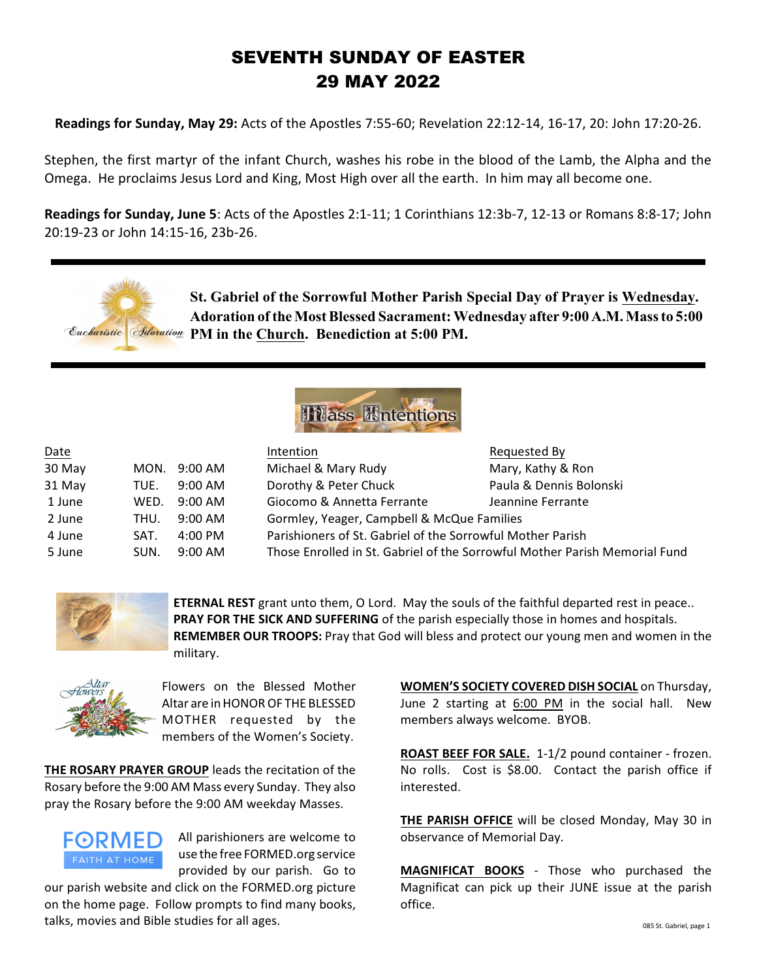# SEVENTH SUNDAY OF EASTER 29 MAY 2022

**Readings for Sunday, May 29:** Acts of the Apostles 7:55-60; Revelation 22:12-14, 16-17, 20: John 17:20-26.

Stephen, the first martyr of the infant Church, washes his robe in the blood of the Lamb, the Alpha and the Omega. He proclaims Jesus Lord and King, Most High over all the earth. In him may all become one.

**Readings for Sunday, June 5**: Acts of the Apostles 2:1-11; 1 Corinthians 12:3b-7, 12-13 or Romans 8:8-17; John 20:19-23 or John 14:15-16, 23b-26.

**St. Gabriel of the Sorrowful Mother Parish Special Day of Prayer is Wednesday. Adoration of the Most Blessed Sacrament: Wednesday after 9:00 A.M. Mass to 5:00 Eacharistic | Adoration PM in the Church. Benediction at 5:00 PM.** 



| Date   |      |                   | Intention                                                                  | Requested By            |
|--------|------|-------------------|----------------------------------------------------------------------------|-------------------------|
| 30 May |      | MON. 9:00 AM      | Michael & Mary Rudy                                                        | Mary, Kathy & Ron       |
| 31 May | TUE. | $9:00 \text{ AM}$ | Dorothy & Peter Chuck                                                      | Paula & Dennis Bolonski |
| 1 June | WFD. | $9:00 \text{ AM}$ | Giocomo & Annetta Ferrante                                                 | Jeannine Ferrante       |
| 2 June | THU. | $9:00$ AM         | Gormley, Yeager, Campbell & McQue Families                                 |                         |
| 4 June | SAT. | $4:00 \text{ PM}$ | Parishioners of St. Gabriel of the Sorrowful Mother Parish                 |                         |
| 5 June | SUN. | $9:00$ AM         | Those Enrolled in St. Gabriel of the Sorrowful Mother Parish Memorial Fund |                         |



**ETERNAL REST** grant unto them, O Lord. May the souls of the faithful departed rest in peace.. **PRAY FOR THE SICK AND SUFFERING** of the parish especially those in homes and hospitals. **REMEMBER OUR TROOPS:** Pray that God will bless and protect our young men and women in the military.



Flowers on the Blessed Mother Altar are in HONOR OF THE BLESSED MOTHER requested by the members of the Women's Society.

**THE ROSARY PRAYER GROUP** leads the recitation of the Rosary before the 9:00 AM Mass every Sunday. They also pray the Rosary before the 9:00 AM weekday Masses.



All parishioners are welcome to use the free FORMED.org service provided by our parish. Go to

our parish website and click on the FORMED.org picture on the home page. Follow prompts to find many books, talks, movies and Bible studies for all ages.

**WOMEN'S SOCIETY COVERED DISH SOCIAL** on Thursday, June 2 starting at 6:00 PM in the social hall. New members always welcome. BYOB.

**ROAST BEEF FOR SALE.** 1-1/2 pound container - frozen. No rolls. Cost is \$8.00. Contact the parish office if interested.

**THE PARISH OFFICE** will be closed Monday, May 30 in observance of Memorial Day.

**MAGNIFICAT BOOKS** - Those who purchased the Magnificat can pick up their JUNE issue at the parish office.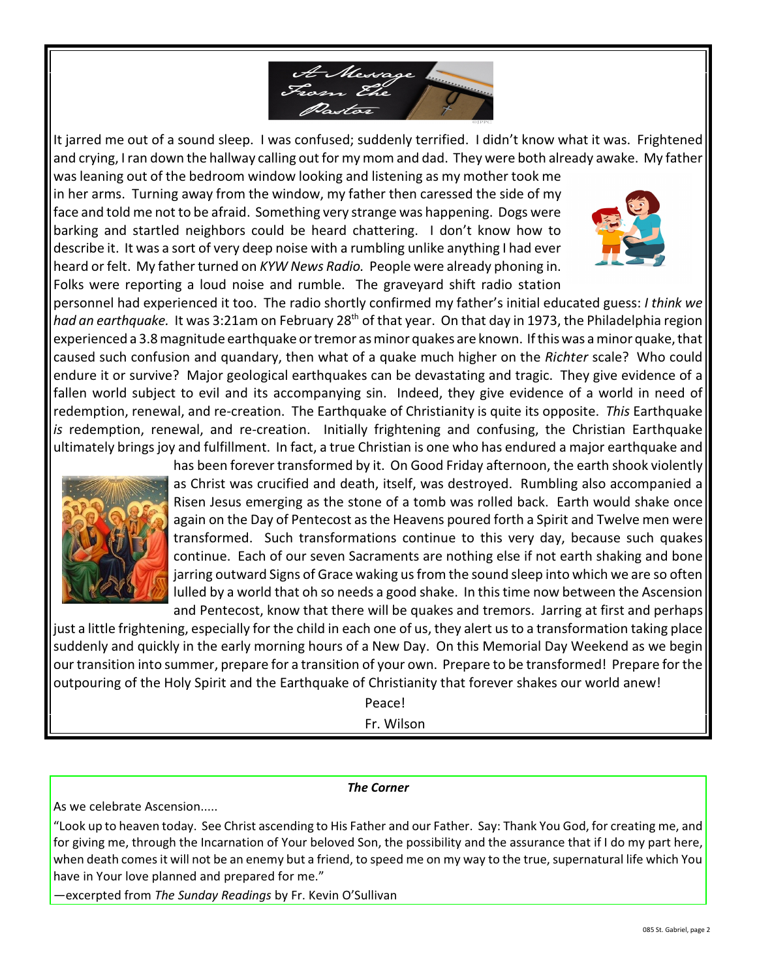

It jarred me out of a sound sleep. I was confused; suddenly terrified. I didn't know what it was. Frightened and crying, I ran down the hallway calling out for my mom and dad. They were both already awake. My father

was leaning out of the bedroom window looking and listening as my mother took me in her arms. Turning away from the window, my father then caressed the side of my face and told me not to be afraid. Something very strange was happening. Dogs were barking and startled neighbors could be heard chattering. I don't know how to describe it. It was a sort of very deep noise with a rumbling unlike anything I had ever heard or felt. My father turned on *KYW News Radio.* People were already phoning in. Folks were reporting a loud noise and rumble. The graveyard shift radio station



personnel had experienced it too. The radio shortly confirmed my father's initial educated guess: *I think we had an earthquake.* It was 3:21am on February 28<sup>th</sup> of that year. On that day in 1973, the Philadelphia region experienced a 3.8 magnitude earthquake or tremor as minor quakes are known. If this was a minor quake, that caused such confusion and quandary, then what of a quake much higher on the *Richter* scale? Who could endure it or survive? Major geological earthquakes can be devastating and tragic. They give evidence of a fallen world subject to evil and its accompanying sin. Indeed, they give evidence of a world in need of redemption, renewal, and re-creation. The Earthquake of Christianity is quite its opposite. *This* Earthquake *is* redemption, renewal, and re-creation. Initially frightening and confusing, the Christian Earthquake ultimately brings joy and fulfillment. In fact, a true Christian is one who has endured a major earthquake and



has been forever transformed by it. On Good Friday afternoon, the earth shook violently as Christ was crucified and death, itself, was destroyed. Rumbling also accompanied a Risen Jesus emerging as the stone of a tomb was rolled back. Earth would shake once again on the Day of Pentecost as the Heavens poured forth a Spirit and Twelve men were transformed. Such transformations continue to this very day, because such quakes continue. Each of our seven Sacraments are nothing else if not earth shaking and bone jarring outward Signs of Grace waking us from the sound sleep into which we are so often lulled by a world that oh so needs a good shake. In this time now between the Ascension

and Pentecost, know that there will be quakes and tremors. Jarring at first and perhaps just a little frightening, especially for the child in each one of us, they alert us to a transformation taking place suddenly and quickly in the early morning hours of a New Day. On this Memorial Day Weekend as we begin ourtransition into summer, prepare for a transition of your own. Prepare to be transformed! Prepare forthe outpouring of the Holy Spirit and the Earthquake of Christianity that forever shakes our world anew!

Peace!

Fr. Wilson

## *The Corner*

As we celebrate Ascension.....

"Look up to heaven today. See Christ ascending to His Father and our Father. Say: Thank You God, for creating me, and for giving me, through the Incarnation of Your beloved Son, the possibility and the assurance that if I do my part here, when death comes it will not be an enemy but a friend, to speed me on my way to the true, supernatural life which You have in Your love planned and prepared for me."

—excerpted from *The Sunday Readings* by Fr. Kevin O'Sullivan